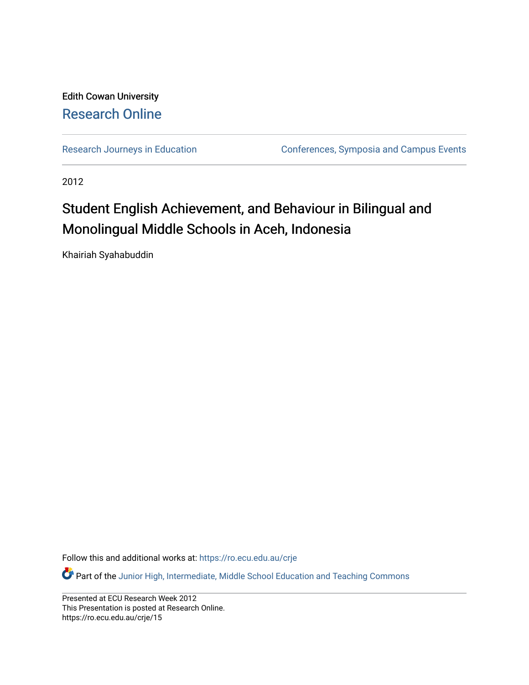### Edith Cowan University [Research Online](https://ro.ecu.edu.au/)

[Research Journeys in Education](https://ro.ecu.edu.au/crje) **Conferences**, Symposia and Campus Events

2012

### Student English Achievement, and Behaviour in Bilingual and Monolingual Middle Schools in Aceh, Indonesia

Khairiah Syahabuddin

Follow this and additional works at: [https://ro.ecu.edu.au/crje](https://ro.ecu.edu.au/crje?utm_source=ro.ecu.edu.au%2Fcrje%2F15&utm_medium=PDF&utm_campaign=PDFCoverPages) 

Part of the [Junior High, Intermediate, Middle School Education and Teaching Commons](http://network.bepress.com/hgg/discipline/807?utm_source=ro.ecu.edu.au%2Fcrje%2F15&utm_medium=PDF&utm_campaign=PDFCoverPages)

Presented at ECU Research Week 2012 This Presentation is posted at Research Online. https://ro.ecu.edu.au/crje/15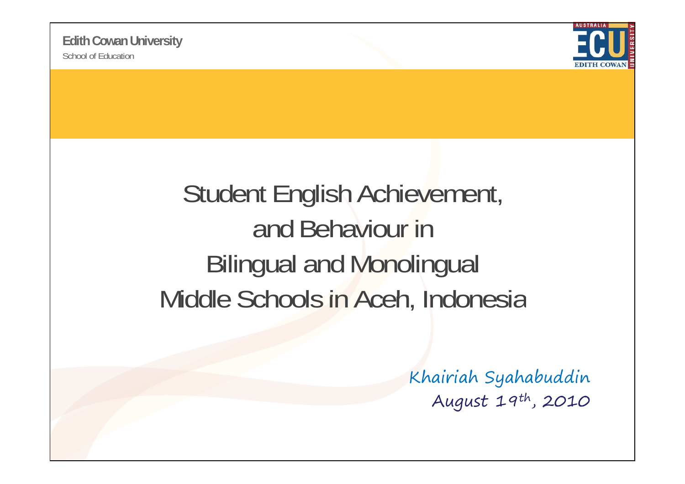

### Student English Achievement, and Behaviour in Bilingual and Monolingual Middle Schools in Aceh, Indonesia

Khairiah Syahabuddin August 19th, 2010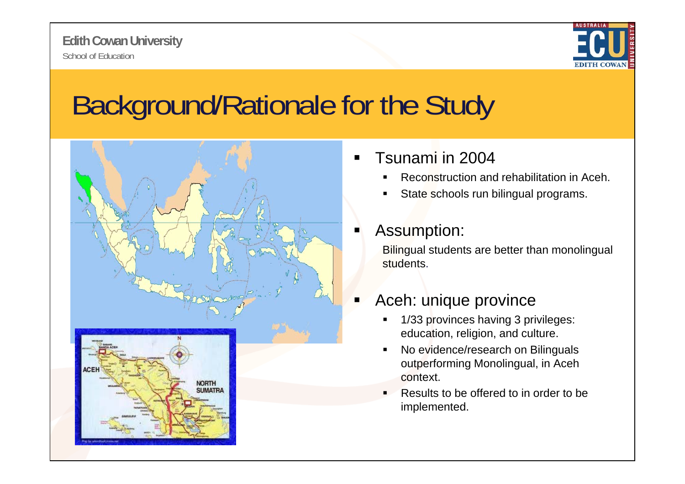

## Background/Rationale for the Study



- ٠ Tsunami in 2004
	- Reconstruction and rehabilitation in Aceh.
	- State schools run bilingual programs.

#### ٠ Assumption:

Bilingual students are better than monolingual students.

#### Ξ Aceh: unique province

- $\blacksquare$  1/33 provinces having 3 privileges: education, religion, and culture.
- No evidence/research on Bilinguals outperforming Monolingual, in Aceh context.
- $\blacksquare$  . Results to be offered to in order to be implemented.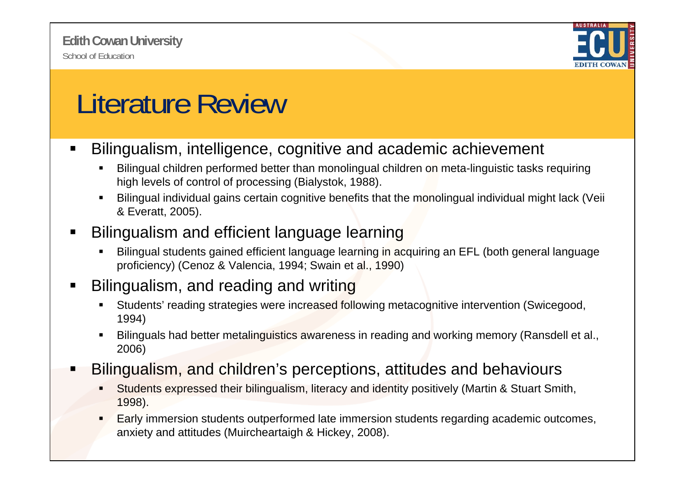

## Literature Review

- $\blacksquare$  Bilingualism, intelligence, cognitive and academic achievement
	- ۳ Bilingual children performed better than monolingual children on meta-linguistic tasks requiring high levels of control of processing (Bialystok, 1988).
	- Г Bilingual individual gains certain cognitive benefits that the monolingual individual might lack (Veii & Everatt, 2005).

#### Ξ Bilingualism and efficient language learning

۳ Bilingual students gained efficient language learning in acquiring an EFL (both general language proficiency) (Cenoz & Valencia, 1994; Swain et al., 1990)

### Bilingualism, and reading and writing

- ۳ Students' reading strategies were increased following metacognitive intervention (Swicegood, 1994)
- $\mathbf{r}$  Bilinguals had better metalinguistics awareness in reading and working memory (Ransdell et al., 2006)
- Bilingualism, and children's perceptions, attitudes and behaviours
	- ٠ Students expressed their bilingualism, literacy and identity positively (Martin & Stuart Smith, 1998).
	- ٠ Early immersion students outperformed late immersion students regarding academic outcomes, anxiety and attitudes (Muircheartaigh & Hickey, 2008).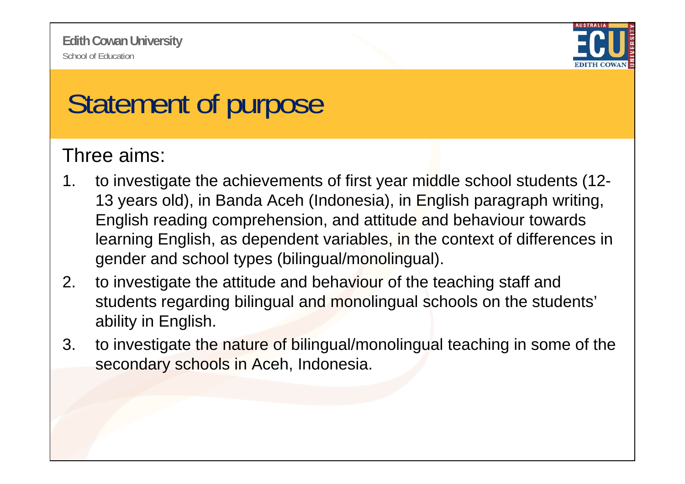

# Statement of purpose

### Three aims:

- 1. to investigate the achievements of first year middle school students (12-13 years old), in Banda Aceh (Indonesia), in English paragraph writing, English reading comprehension, and attitude and behaviour towards learning English, as dependent variables, in the context of differences in gender and school types (bilingual/monolingual).
- 2. to investigate the attitude and behaviour of the teaching staff and students regarding bilingual and monolingual schools on the students' ability in English.
- 3. to investigate the nature of bilingual/monolingual teaching in some of the secondary schools in Aceh, Indonesia.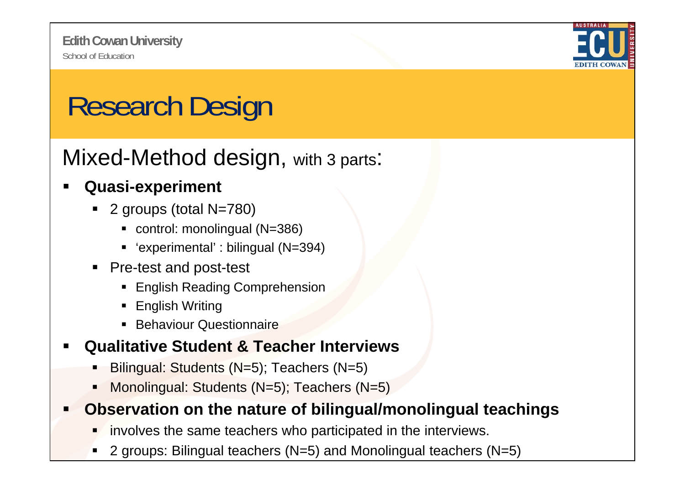

# Research Design

Mixed-Method design, with 3 parts:

### **Quasi-experiment**

- 2 groups (total N=780)
	- control: monolingual (N=386)
	- 'experimental' : bilingual (N=394)
- **Pre-test and post-test** 
	- **English Reading Comprehension**
	- English Writing
	- **Behaviour Questionnaire**
- **Qualitative Student & Teacher Interviews**
	- Bilingual: Students (N=5); Teachers (N=5)
	- Г Monolingual: Students (N=5); Teachers (N=5)

### Observation on the nature of bilingual/monolingual teachings

- involves the same teachers who participated in the interviews.
- . 2 groups: Bilingual teachers (N=5) and Monolingual teachers (N=5)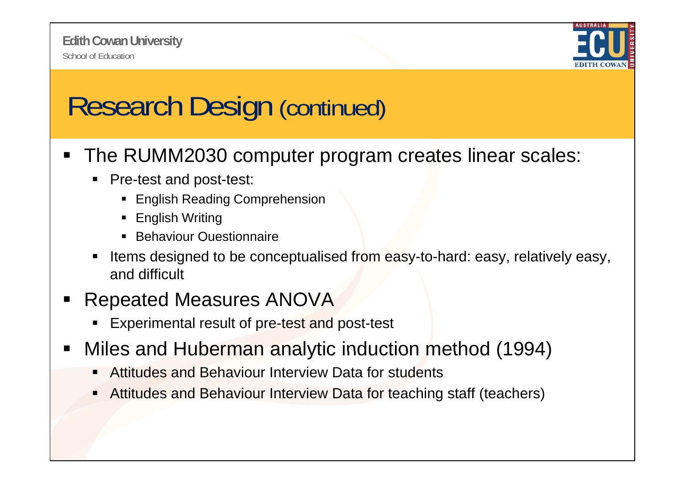

## Research Design (continued)

- The RUMM2030 computer program creates linear scales:
	- **Pre-test and post-test:** 
		- **English Reading Comprehension**
		- English Writing
		- **Behaviour Questionnaire**
	- Items designed to be conceptualised from easy-to-hard: easy, relatively easy, and difficult
- ٠ Repeated Measures ANOVA
	- **Experimental result of pre-test and post-test**
- $\blacksquare$ Miles and Huberman analytic induction method (1994)
	- Attitudes and Behaviour Interview Data for students
	- Г Attitudes and Behaviour Interview Data for teaching staff (teachers)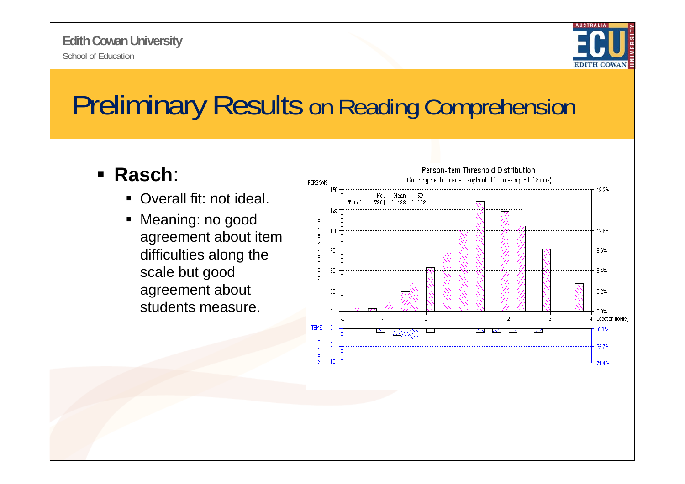

### Preliminary Results on Reading Comprehension

### **Rasch**:

- Overall fit: not ideal.
- Meaning: no good agreement about item difficulties along the scale but good agreement about students measure.

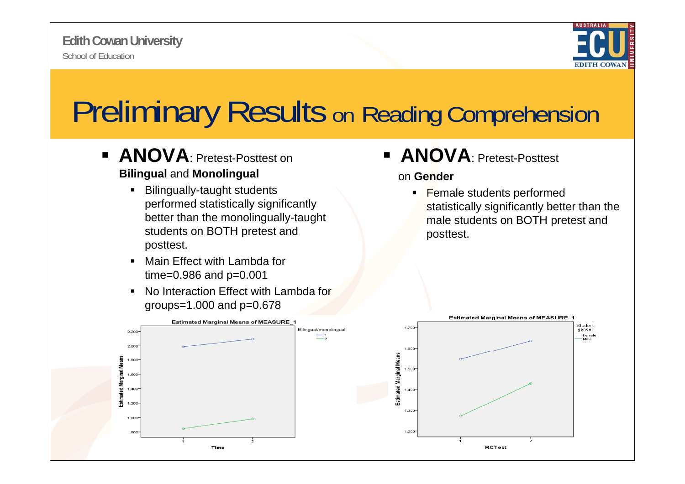

# **Preliminary Results on Reading Comprehension**

- **ANOVA: Pretest-Posttest on Bilingual** and **Monolingual**
	- **Bilingually-taught students** performed statistically significantly better than the monolingually-taught students on BOTH pretest and posttest.
	- $\blacksquare$  Main Effect with Lambda for time=0.986 and p=0.001
	- $\blacksquare$  No Interaction Effect with Lambda for groups=1.000 and  $p=0.678$



**ANOVA**: Pretest-Posttest

#### on **Gender**

**Female students performed** statistically significantly better than the male students on BOTH pretest and posttest.

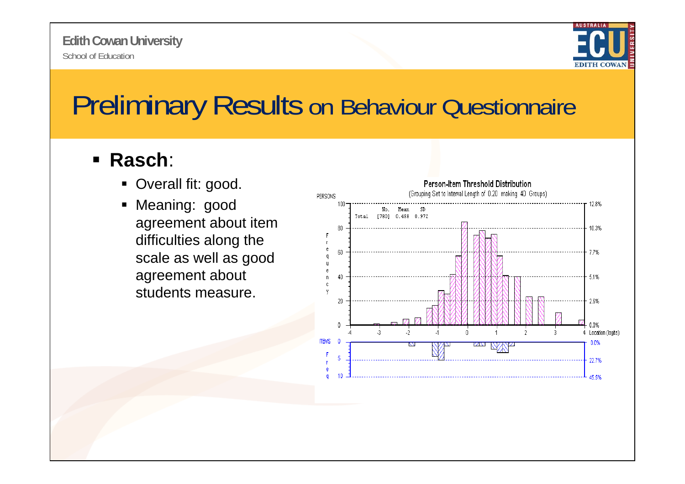

### Preliminary Results on Behaviour Questionnaire

#### $\blacksquare$ **Rasch**:

- Overall fit: good.
- **Meaning: good** agreement about item difficulties along the scale as well as good agreement about students measure.